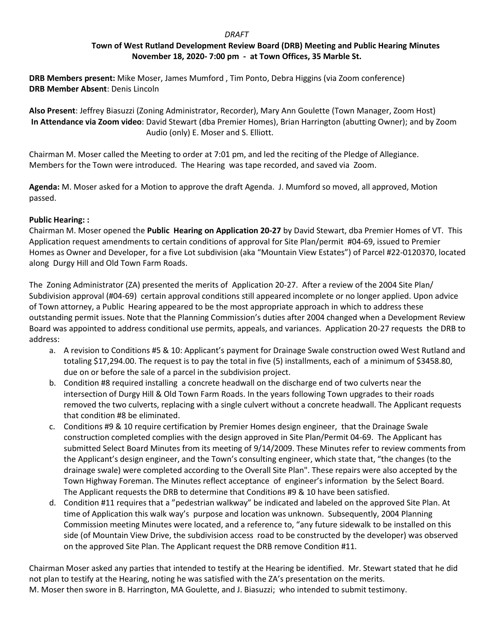# *DRAFT*

## **Town of West Rutland Development Review Board (DRB) Meeting and Public Hearing Minutes November 18, 2020- 7:00 pm - at Town Offices, 35 Marble St.**

**DRB Members present:** Mike Moser, James Mumford , Tim Ponto, Debra Higgins (via Zoom conference) **DRB Member Absent**: Denis Lincoln

**Also Present**: Jeffrey Biasuzzi (Zoning Administrator, Recorder), Mary Ann Goulette (Town Manager, Zoom Host) **In Attendance via Zoom video**: David Stewart (dba Premier Homes), Brian Harrington (abutting Owner); and by Zoom Audio (only) E. Moser and S. Elliott.

Chairman M. Moser called the Meeting to order at 7:01 pm, and led the reciting of the Pledge of Allegiance. Members for the Town were introduced. The Hearing was tape recorded, and saved via Zoom.

**Agenda:** M. Moser asked for a Motion to approve the draft Agenda. J. Mumford so moved, all approved, Motion passed.

## **Public Hearing: :**

Chairman M. Moser opened the **Public Hearing on Application 20-27** by David Stewart, dba Premier Homes of VT. This Application request amendments to certain conditions of approval for Site Plan/permit #04-69, issued to Premier Homes as Owner and Developer, for a five Lot subdivision (aka "Mountain View Estates") of Parcel #22-0120370, located along Durgy Hill and Old Town Farm Roads.

The Zoning Administrator (ZA) presented the merits of Application 20-27. After a review of the 2004 Site Plan/ Subdivision approval (#04-69) certain approval conditions still appeared incomplete or no longer applied. Upon advice of Town attorney, a Public Hearing appeared to be the most appropriate approach in which to address these outstanding permit issues. Note that the Planning Commission's duties after 2004 changed when a Development Review Board was appointed to address conditional use permits, appeals, and variances. Application 20-27 requests the DRB to address:

- a. A revision to Conditions #5 & 10: Applicant's payment for Drainage Swale construction owed West Rutland and totaling \$17,294.00. The request is to pay the total in five (5) installments, each of a minimum of \$3458.80, due on or before the sale of a parcel in the subdivision project.
- b. Condition #8 required installing a concrete headwall on the discharge end of two culverts near the intersection of Durgy Hill & Old Town Farm Roads. In the years following Town upgrades to their roads removed the two culverts, replacing with a single culvert without a concrete headwall. The Applicant requests that condition #8 be eliminated.
- c. Conditions #9 & 10 require certification by Premier Homes design engineer, that the Drainage Swale construction completed complies with the design approved in Site Plan/Permit 04-69. The Applicant has submitted Select Board Minutes from its meeting of 9/14/2009. These Minutes refer to review comments from the Applicant's design engineer, and the Town's consulting engineer, which state that, "the changes (to the drainage swale) were completed according to the Overall Site Plan". These repairs were also accepted by the Town Highway Foreman. The Minutes reflect acceptance of engineer's information by the Select Board. The Applicant requests the DRB to determine that Conditions #9 & 10 have been satisfied.
- d. Condition #11 requires that a "pedestrian walkway" be indicated and labeled on the approved Site Plan. At time of Application this walk way's purpose and location was unknown. Subsequently, 2004 Planning Commission meeting Minutes were located, and a reference to, "any future sidewalk to be installed on this side (of Mountain View Drive, the subdivision access road to be constructed by the developer) was observed on the approved Site Plan. The Applicant request the DRB remove Condition #11.

Chairman Moser asked any parties that intended to testify at the Hearing be identified. Mr. Stewart stated that he did not plan to testify at the Hearing, noting he was satisfied with the ZA's presentation on the merits. M. Moser then swore in B. Harrington, MA Goulette, and J. Biasuzzi; who intended to submit testimony.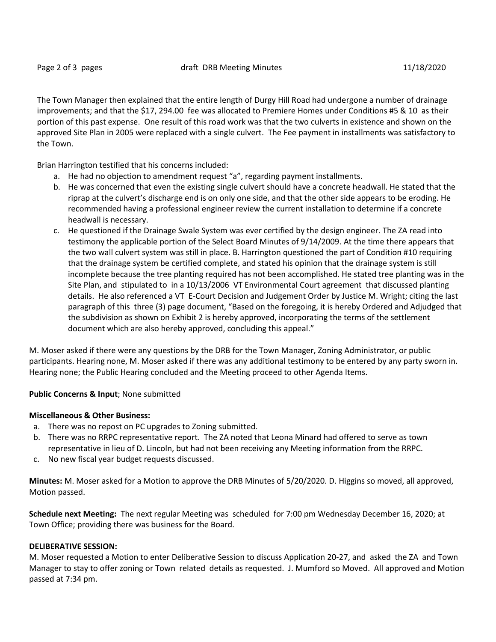The Town Manager then explained that the entire length of Durgy Hill Road had undergone a number of drainage improvements; and that the \$17, 294.00 fee was allocated to Premiere Homes under Conditions #5 & 10 as their portion of this past expense. One result of this road work was that the two culverts in existence and shown on the approved Site Plan in 2005 were replaced with a single culvert. The Fee payment in installments was satisfactory to the Town.

Brian Harrington testified that his concerns included:

- a. He had no objection to amendment request "a", regarding payment installments.
- b. He was concerned that even the existing single culvert should have a concrete headwall. He stated that the riprap at the culvert's discharge end is on only one side, and that the other side appears to be eroding. He recommended having a professional engineer review the current installation to determine if a concrete headwall is necessary.
- c. He questioned if the Drainage Swale System was ever certified by the design engineer. The ZA read into testimony the applicable portion of the Select Board Minutes of 9/14/2009. At the time there appears that the two wall culvert system was still in place. B. Harrington questioned the part of Condition #10 requiring that the drainage system be certified complete, and stated his opinion that the drainage system is still incomplete because the tree planting required has not been accomplished. He stated tree planting was in the Site Plan, and stipulated to in a 10/13/2006 VT Environmental Court agreement that discussed planting details. He also referenced a VT E-Court Decision and Judgement Order by Justice M. Wright; citing the last paragraph of this three (3) page document, "Based on the foregoing, it is hereby Ordered and Adjudged that the subdivision as shown on Exhibit 2 is hereby approved, incorporating the terms of the settlement document which are also hereby approved, concluding this appeal."

M. Moser asked if there were any questions by the DRB for the Town Manager, Zoning Administrator, or public participants. Hearing none, M. Moser asked if there was any additional testimony to be entered by any party sworn in. Hearing none; the Public Hearing concluded and the Meeting proceed to other Agenda Items.

## **Public Concerns & Input**; None submitted

### **Miscellaneous & Other Business:**

- a. There was no repost on PC upgrades to Zoning submitted.
- b. There was no RRPC representative report. The ZA noted that Leona Minard had offered to serve as town representative in lieu of D. Lincoln, but had not been receiving any Meeting information from the RRPC.
- c. No new fiscal year budget requests discussed.

**Minutes:** M. Moser asked for a Motion to approve the DRB Minutes of 5/20/2020. D. Higgins so moved, all approved, Motion passed.

**Schedule next Meeting:** The next regular Meeting was scheduled for 7:00 pm Wednesday December 16, 2020; at Town Office; providing there was business for the Board.

### **DELIBERATIVE SESSION:**

M. Moser requested a Motion to enter Deliberative Session to discuss Application 20-27, and asked the ZA and Town Manager to stay to offer zoning or Town related details as requested. J. Mumford so Moved. All approved and Motion passed at 7:34 pm.